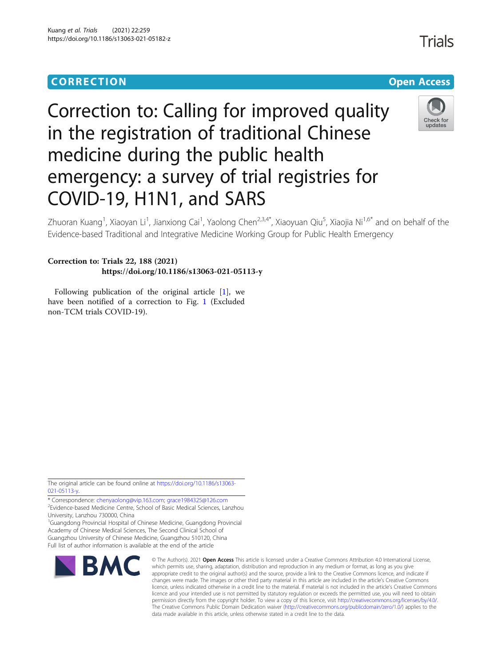## CORR EC TION Open [Access](http://crossmark.crossref.org/dialog/?doi=10.1186/s13063-021-05182-z&domain=pdf)

# Correction to: Calling for improved quality in the registration of traditional Chinese medicine during the public health emergency: a survey of trial registries for COVID-19, H1N1, and SARS



Zhuoran Kuang<sup>1</sup>, Xiaoyan Li<sup>1</sup>, Jianxiong Cai<sup>1</sup>, Yaolong Chen<sup>2,3,4\*</sup>, Xiaoyuan Qiu<sup>5</sup>, Xiaojia Ni<sup>1,6\*</sup> and on behalf of the Evidence-based Traditional and Integrative Medicine Working Group for Public Health Emergency

## Correction to: Trials 22, 188 (2021) https://doi.org/10.1186/s13063-021-05113-y

Following publication of the original article  $[1]$  $[1]$  $[1]$ , we have been notified of a correction to Fig. [1](#page-1-0) (Excluded non-TCM trials COVID-19).

The original article can be found online at [https://doi.org/10.1186/s13063-](https://doi.org/10.1186/s13063-021-05113-y) [021-05113-y](https://doi.org/10.1186/s13063-021-05113-y).

\* Correspondence: [chenyaolong@vip.163.com;](mailto:chenyaolong@vip.163.com) [grace1984325@126.com](mailto:grace1984325@126.com) <sup>2</sup>

<sup>2</sup>Evidence-based Medicine Centre, School of Basic Medical Sciences, Lanzhou University, Lanzhou 730000, China

<sup>1</sup>Guangdong Provincial Hospital of Chinese Medicine, Guangdong Provincial Academy of Chinese Medical Sciences, The Second Clinical School of Guangzhou University of Chinese Medicine, Guangzhou 510120, China Full list of author information is available at the end of the article



© The Author(s), 2021 **Open Access** This article is licensed under a Creative Commons Attribution 4.0 International License, which permits use, sharing, adaptation, distribution and reproduction in any medium or format, as long as you give appropriate credit to the original author(s) and the source, provide a link to the Creative Commons licence, and indicate if changes were made. The images or other third party material in this article are included in the article's Creative Commons licence, unless indicated otherwise in a credit line to the material. If material is not included in the article's Creative Commons licence and your intended use is not permitted by statutory regulation or exceeds the permitted use, you will need to obtain permission directly from the copyright holder. To view a copy of this licence, visit [http://creativecommons.org/licenses/by/4.0/.](http://creativecommons.org/licenses/by/4.0/) The Creative Commons Public Domain Dedication waiver [\(http://creativecommons.org/publicdomain/zero/1.0/](http://creativecommons.org/publicdomain/zero/1.0/)) applies to the data made available in this article, unless otherwise stated in a credit line to the data.

**Trials**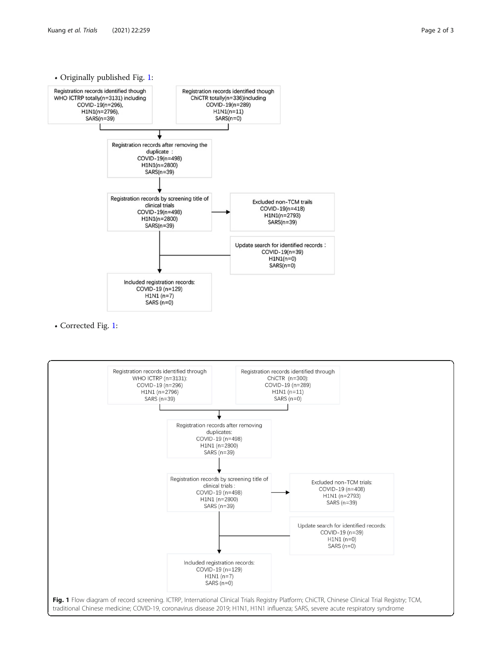<span id="page-1-0"></span>

• Corrected Fig. 1: